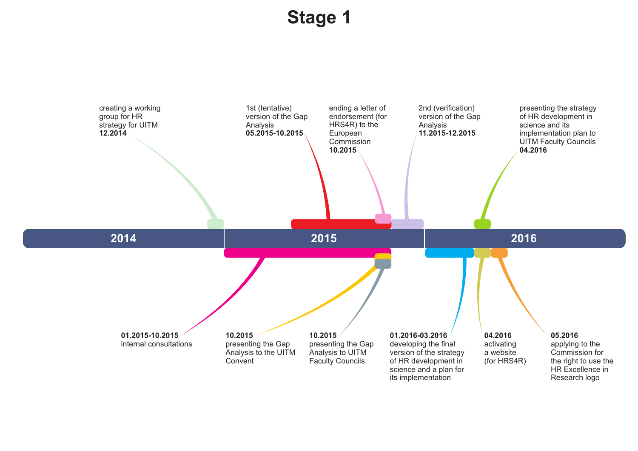## **Stage 1**